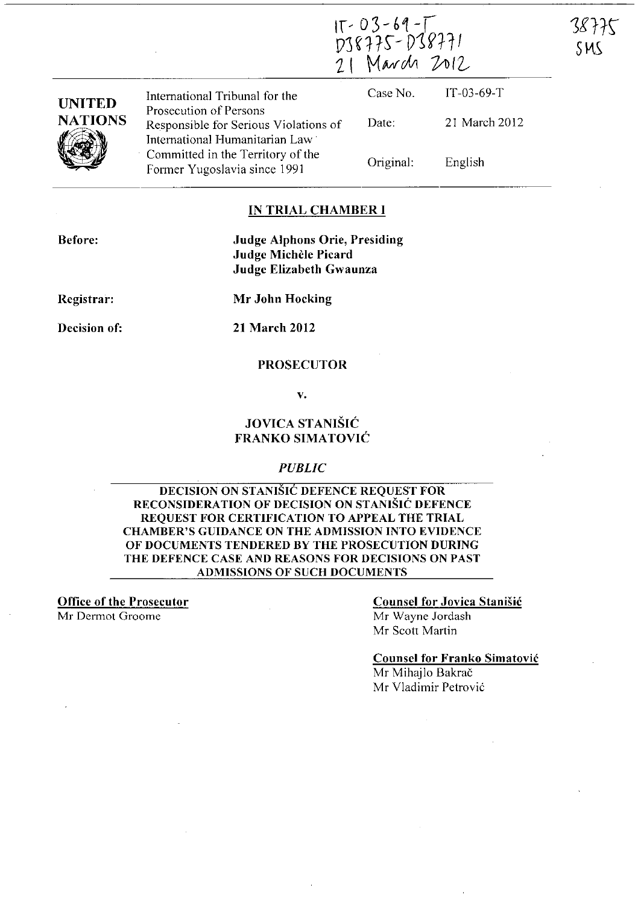$15 - 03 - 69 - 7$ <br>DJ8775-DJ8771<br>21 March 2012

38775

SMS

| <b>UNITED</b><br><b>NATIONS</b> | International Tribunal for the                                                                      | Case No.  | $IT-03-69-T$  |  |
|---------------------------------|-----------------------------------------------------------------------------------------------------|-----------|---------------|--|
|                                 | Prosecution of Persons<br>Responsible for Serious Violations of                                     | Date:     | 21 March 2012 |  |
|                                 | International Humanitarian Law<br>Committed in the Territory of the<br>Former Yugoslavia since 1991 | Original: | English       |  |

### IN TRIAL CHAMBER **I**

Before:

Judge Alphons Orie, Presiding Judge Michele Picard Judge Elizabeth Gwaunza

Registrar:

Mr John Hocking

Decision of:

21 March 2012

### PROSECUTOR

v.

### JOVICA STANISIC FRANKO SIMATOVIC

### *PUBLIC*

DECISION ON STANIŠIĆ DEFENCE REQUEST FOR RECONSIDERATION OF DECISION ON STANISIC DEFENCE REQUEST FOR CERTIFICATION TO APPEAL THE TRIAL CHAMBER'S GUIDANCE ON THE ADMISSION INTO EVIDENCE OF DOCUMENTS TENDERED BY THE PROSECUTION DURING THE DEFENCE CASE AND REASONS FOR DECISIONS ON PAST ADMISSIONS OF SUCH DOCUMENTS

Office of the Prosecutor Mr Dermol Groome

### Counsel for Jovica StaniSic Mr Wayne Jordash

Mr Scott Martin

Counsel for Franko Simatovic

Mr Mihajlo Bakrač Mr Vladimir Petrovic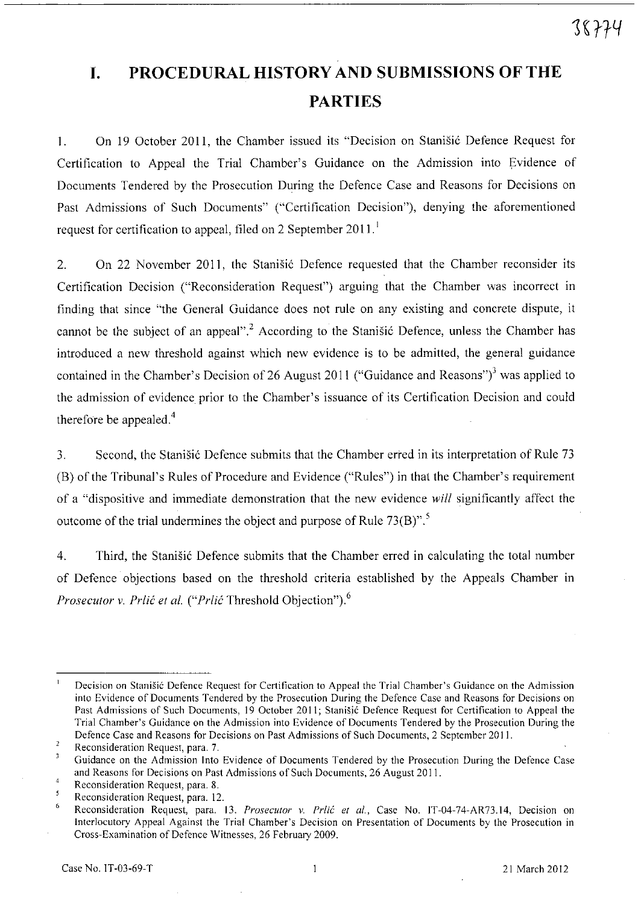# **I. PROCEDURAL HISTORY AND SUBMISSIONS OF THE PARTIES**

1. On 19 October 2011, the Chamber issued its "Decision on Stanišić Defence Request for Certification to Appeal the Trial Chamber's Guidance on the Admission into Evidence of Documents Tendered by the Prosecution During the Defence Case and Reasons for Decisions on Past Admissions of Such Documents" ("Certification Decision"), denying the aforementioned request for certification to appeal, filed on 2 September 2011.

2. On 22 November 2011, the Stanišić Defence requested that the Chamber reconsider its Certification Decision ("Reconsideration Request") arguing that the Chamber was incorrect in finding that since "the General Guidance does not rule on any existing and concrete dispute, it cannot be the subject of an appeal".<sup>2</sup> According to the Stanistic Defence, unless the Chamber has introduced a new threshold against which new evidence is to be admitted, the general guidance contained in the Chamber's Decision of 26 August 2011 ("Guidance and Reasons")<sup>3</sup> was applied to the admission of evidence prior to the Chamber's issuance of its Certification Decision and could therefore be appealed.<sup>4</sup>

3. Second, the Stanisic Defence submits that the Chamber erred in its interpretation of Rule 73 (B) of the Tribunal's Rules of Procedure and Evidence ("Rules") in that the Chamber's requirement of a "dispositive and immediate demonstration that the new evidence *will* significantly affect the outcome of the trial undermines the object and purpose of Rule  $73(B)$ .<sup>5</sup>,

4. Third, the Stanistic Defence submits that the Chamber erred in calculating the total number of Defence objections based on the threshold criteria established by the Appeals Chamber in *Prosecutor v. Prlić et al. ("Prlić Threshold Objection").*<sup>6</sup>

 $\overline{1}$ **Decision on StaniSic Defence Request for Certification to Appeal the Trial Chamber's Guidance on the Admission into Evidence of Documents Tendered by the Prosecution During the Defence Case and Reasons for Decisions on**  Past Admissions of Such Documents, 19 October 2011; Stanišić Defence Request for Certification to Appeal the **Trial Chamber's Guidance on the Admission into Evidence of Documents Tendered by the Prosecution During the Defence Case and Reasons for Decisions on Past Admissions of Such Documents, 2 September 2011.** 

 $\overline{2}$ **Reconsideration Request, para. 7.** 

 $\overline{\mathbf{3}}$ Guidance on the Admission Into Evidence of Documents Tendered by the Prosecution During the Defence Case and Reasons for Decisions on Past Admissions of Such Documents, 26 August 2011.

 $\overline{4}$ Reconsideration Request, para. 8.

 $\overline{\mathbf{5}}$ Reconsideration Request, para. 12.

<sup>6</sup>  Reconsideration Request, para. 13. *Prosecutor v. Prlić et al.*, Case No. IT-04-74-AR73.14, Decision on **Interlocutory Appeal Against the Trial Chamber's Decision on Presentation of Documents by the Prosecution in**  Cross-Examination of Defence Witnesses. 26 February 2009.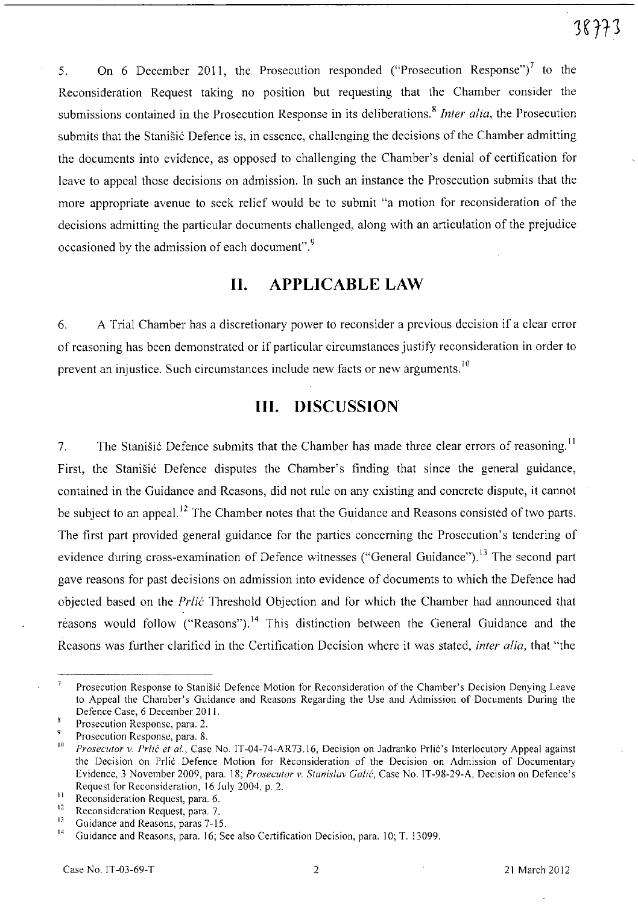5. On 6 December 2011, the Prosecution responded ("Prosecution Response")<sup>7</sup> to the Reconsideration Request taking no position but requesting that the Chamber consider the submissions contained in the Prosecution Response in its deliberations. <sup>8</sup>*Inter alia,* the Prosecution submits that the Stanišić Defence is, in essence, challenging the decisions of the Chamber admitting the documents into evidence, as opposed to challenging the Chamber's denial of certification for leave to appeal those decisions on admission. In such an instance the Prosecution submits that the more appropriate avenue to seek relief would be to submit "a motion for reconsideration of the decisions admitting the particular documents challenged, along with an articulation of the prejudice occasioned by the admission of each document". $9$ 

## H. APPLICABLE LAW

6. A Trial Chamber has a discretionary power to reconsider a previous decision if a clear error of reasoning has been demonstrated or if particular circumstances justify reconsideration in order to prevent an injustice. Such circumstances include new facts or new arguments.<sup>10</sup>

## **Ill.** DISCUSSION

7. The Stanisic Defence submits that the Chamber has made three clear errors of reasoning.<sup>11</sup> First, the Stanisic Defence disputes the Chamber's finding that since the general guidance, contained in the Guidance and Reasons, did not rule on any existing and concrete dispute, it cannot be subject to an appeal.<sup>12</sup> The Chamber notes that the Guidance and Reasons consisted of two parts. The first part provided general guidance for the parties concerning the Prosecution's tendering of evidence during cross-examination of Defence witnesses ("General Guidance").<sup>13</sup> The second part gave reasons for past decisions on admission into evidence of documents to which the Defence had objected based on the *Prlic* Threshold Objection and for which the Chamber had announced that reasons would follow ("Reasons").<sup>14</sup> This distinction between the General Guidance and the Reasons was further clarified in the Certification Decision where it was stated, *inter alia,* that "the

 $\overline{\phantom{a}}$ Prosecution Response to Stanisic Defence Motion for Reconsideration of the Chamber's Decision Denying Leave to Appeal the Chamber's Guidance and Reasons Regarding the Use and Admission of Documents During the Defence Case, 6 December 2011.

Prosecution Response, para. 2.

 $^{9}$  Prosecution Response, para. 8.<br><sup>10</sup> Program to British at al. Cose

*Prosecutor v. Prlić et al., Case No. IT-04-74-AR73.16, Decision on Jadranko Prlić's Interlocutory Appeal against* the Decision on Prlic Defence Motion for Reconsideration of the Decision on Admission of Documentary Evidence, 3 November 2009. para. 18; *Prosecutor* v. *Stanislav Calic,* Case No. IT-98-29-A, Decision on Defence's Request for Reconsideration, 16 July 2004, p. 2.

<sup>&</sup>lt;sup>11</sup> Reconsideration Request, para, 6,  $\frac{12}{12}$  Reconsideration Request, para, 7

 $12$  Reconsideration Request, para, 7,  $13$  Cuidance and Recognition rates  $7, 15$ 

<sup>&</sup>lt;sup>13</sup> Guidance and Reasons, paras  $7-15$ ,

<sup>14</sup> Guidance and Reasons, para. 16; See also Certification Decision, para. 10; T. 13099.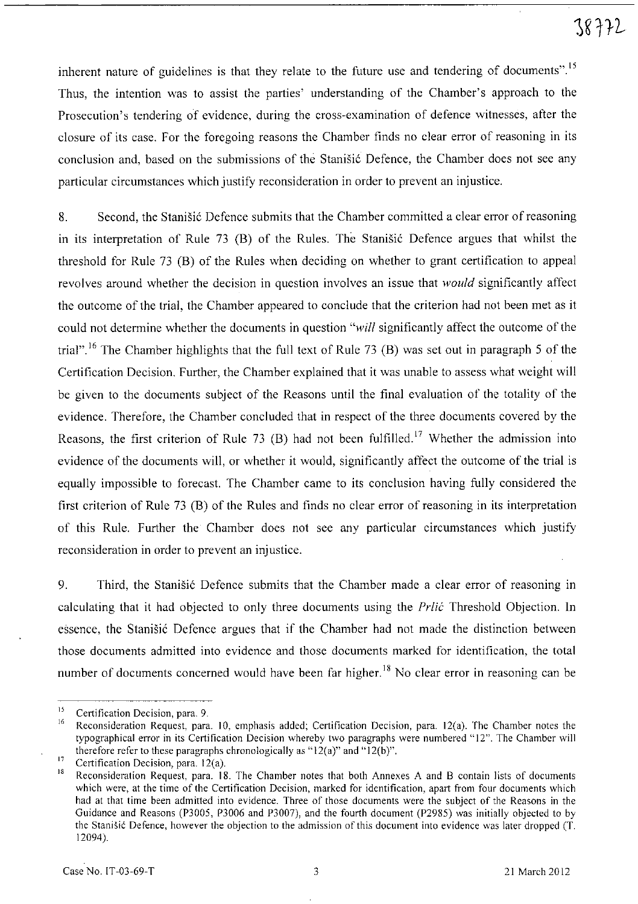inherent nature of guidelines is that they relate to the future use and tendering of documents".<sup>15</sup> Thus, the intention was to assist the parties' understanding of the Chamber's approach to the Prosecution's tendering of evidence, during the cross-examination of defence witnesses, after the closure of its case. For the foregoing reasons the Chamber finds no clear error of reasoning in its conclusion and, based on the submissions of the Stanišić Defence, the Chamber does not see any particular circumstances which justify reconsideration in order to prevent an injustice.

8. Second, the Stanisic Defence submits that the Chamber committed a clear error of reasoning in its interpretation of Rule 73 (B) of the Rules. The Stanistic Defence argues that whilst the threshold for Rule 73 CB) of the Rules when deciding on whether to grant certification to appeal revolves around whether the decision in question involves an issue that *would* significantly affect the outcome of the trial, the Chamber appeared to conclude that the criterion had not been met as it could not determine whether the documents in question *"will* significantly affect the outcome of the trial".<sup>16</sup> The Chamber highlights that the full text of Rule 73 (B) was set out in paragraph 5 of the Certification Decision. Further, the Chamber explained that it was unable to assess what weight will be given to the documents subject of the Reasons until the final evaluation of the totality of the evidence. Therefore, the Chamber concluded that in respect of the three documents covered by the Reasons, the first criterion of Rule 73 (B) had not been fulfilled.<sup>17</sup> Whether the admission into evidence of the documents will, or whether it would, significantly affect the outcome of the trial is equally impossible to forecast. The Chamber came to its conclusion having fully considered the first criterion of Rule 73 CB) of the Rules and finds no clear error of reasoning in its interpretation of this Rule. Further the Chamber does not see any particular circumstances which justify reconsideration in order to prevent an injustice.

9. Third, the Stanisic Defence submits that the Chamber made a clear error of reasoning in calculating that it had objected to only three documents using the *Prlic* Threshold Objection. In essence, the Stanisic Defence argues that if the Chamber had not made the distinction between those documents admitted into evidence and those documents marked for identification, the total number of documents concerned would have been far higher.<sup>18</sup> No clear error in reasoning can be

**<sup>15</sup>Certification Decision, para. 9.** 

Reconsideration Request, para. 10, emphasis added; Certification Decision, para. 12(a). The Chamber notes the typographical error in its Certification Decision whereby two paragraphs were numbered "12". The Chamber will therefore refer to these paragraphs chronologically as " $12(a)$ " and " $12(b)$ ".

<sup>&</sup>lt;sup>17</sup> Certification Decision, para.  $12(a)$ .<br><sup>18</sup> Decensidentian Besuced, para. 18

Reconsideration Request, para. 18. The Chamber notes that both Annexes A and B contain lists of documents **which were, at the time of the Certification Decision, marked for identification, apart from four documents which**  had at that time been admitted into evidence. Three of those documents were the subject of the Reasons in the Guidance and Reasons (P3005, P3006 and P3007), and the fourth document (P2985) was initially objected to by the Stanisic Defence, however the objection to the admission of this document into evidence was later dropped (T. 12094).